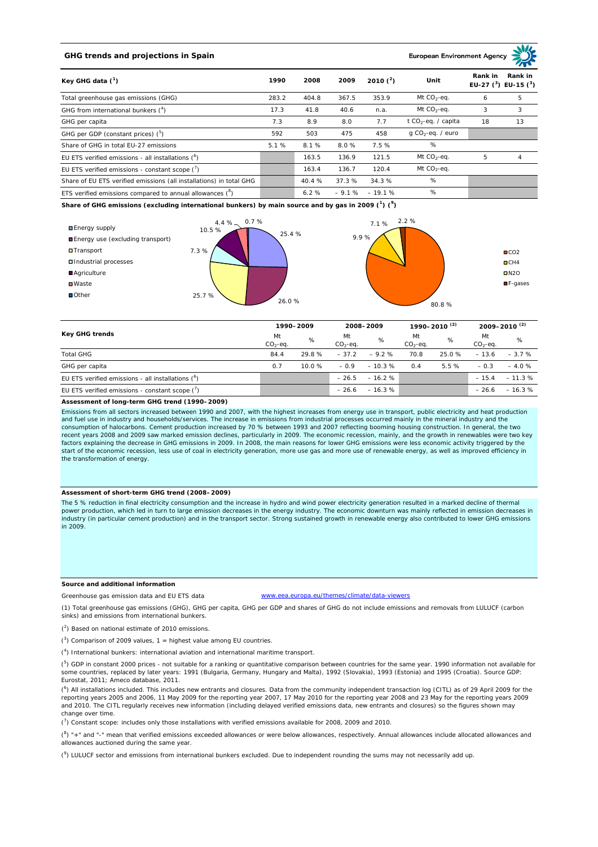## **GHG trends and projections in Spain**

### **European Environment Ag**

| Key GHG data $(^1)$                                                 |       | 2008   | 2009    | 2010 $(^{2})$ | Unit                            | Rank in<br>Rank in<br>EU-27 $(^3)$ EU-15 $(^3)$ |    |
|---------------------------------------------------------------------|-------|--------|---------|---------------|---------------------------------|-------------------------------------------------|----|
| Total greenhouse gas emissions (GHG)                                | 283.2 | 404.8  | 367.5   | 353.9         | Mt $CO2$ -eq.                   | 6                                               | 5  |
| GHG from international bunkers $(^4)$                               | 17.3  | 41.8   | 40.6    | n.a.          | Mt $CO_2$ -eq.                  | 3                                               | 3  |
| GHG per capita                                                      | 7.3   | 8.9    | 8.0     | 7.7           | t CO <sub>2</sub> -eq. / capita | 18                                              | 13 |
| GHG per GDP (constant prices) $(^5)$                                | 592   | 503    | 475     | 458           | $q$ CO <sub>2</sub> -eq. / euro |                                                 |    |
| Share of GHG in total EU-27 emissions                               | 5.1%  | 8.1%   | 8.0%    | 7.5%          | %                               |                                                 |    |
| EU ETS verified emissions - all installations ( <sup>o</sup> )      |       | 163.5  | 136.9   | 121.5         | Mt $CO_2$ -eq.                  | 5                                               | 4  |
| EU ETS verified emissions - constant scope $(7)$                    |       | 163.4  | 136.7   | 120.4         | Mt $CO_2$ -eq.                  |                                                 |    |
| Share of EU ETS verified emissions (all installations) in total GHG |       | 40.4 % | 37.3%   | 34.3 %        | %                               |                                                 |    |
| ETS verified emissions compared to annual allowances $(^8)$         |       | 6.2%   | $-9.1%$ | $-19.1%$      | %                               |                                                 |    |

**Share of GHG emissions (excluding international bunkers) by main source and by gas in 2009 (<sup>1</sup> ) (<sup>9</sup> )**



| Key GHG trends                                       |                 | 1990-2009 |                  | 2008-2009 |                  | 1990–2010 <sup>(2)</sup> |                 | 2009-2010 <sup>(2)</sup> |  |
|------------------------------------------------------|-----------------|-----------|------------------|-----------|------------------|--------------------------|-----------------|--------------------------|--|
|                                                      | Mt<br>$CO2-eq.$ | %         | Mt<br>$CO2-ea$ . | %         | Mt<br>$CO2-ea$ . | %                        | Mt<br>$CO2-eq.$ | %                        |  |
| <b>Total GHG</b>                                     | 84.4            | 29.8%     | $-37.2$          | $-9.2%$   | 70.8             | 25.0%                    | $-13.6$         | $-3.7%$                  |  |
| GHG per capita                                       | 0.7             | $10.0 \%$ | $-0.9$           | $-10.3%$  | 0.4              | 5.5%                     | $-0.3$          | $-4.0%$                  |  |
| EU ETS verified emissions - all installations $(^6)$ |                 |           | $-26.5$          | $-16.2%$  |                  |                          | $-15.4$         | $-11.3%$                 |  |
| EU ETS verified emissions - constant scope $(7)$     |                 |           | $-26.6$          | $-16.3%$  |                  |                          | $-26.6$         | $-16.3%$                 |  |

#### **Assessment of long-term GHG trend (1990–2009)**

Emissions from all sectors increased between 1990 and 2007, with the highest increases from energy use in transport, public electricity and heat production and fuel use in industry and households/services. The increase in emissions from industrial processes occurred mainly in the mineral industry and the consumption of halocarbons. Cement production increased by 70 % between 1993 and 2007 reflecting booming housing construction. In general, the two recent years 2008 and 2009 saw marked emission declines, particularly in 2009. The economic recession, mainly, and the growth in renewables were two key factors explaining the decrease in GHG emissions in 2009. In 2008, the main reasons for lower GHG emissions were less economic activity triggered by the start of the economic recession, less use of coal in electricity generation, more use gas and more use of renewable energy, as well as improved efficiency in the transformation of energy.

### **Assessment of short-term GHG trend (2008–2009)**

The 5 % reduction in final electricity consumption and the increase in hydro and wind power electricity generation resulted in a marked decline of thermal power production, which led in turn to large emission decreases in the energy industry. The economic downturn was mainly reflected in emission decreases in industry (in particular cement production) and in the transport sector. Strong sustained growth in renewable energy also contributed to lower GHG emissions in 2009.

### **Source and additional information**

Greenhouse gas emission data and EU ETS data www.eea.europa.eu/themes/climate/data-viewers

(1) Total greenhouse gas emissions (GHG), GHG per capita, GHG per GDP and shares of GHG do not include emissions and removals from LULUCF (carbon sinks) and emissions from international bunkers.

( 2 ) Based on national estimate of 2010 emissions.

 $(3)$  Comparison of 2009 values, 1 = highest value among EU countries.

( 4 ) International bunkers: international aviation and international maritime transport.

 $(^{5})$  GDP in constant 2000 prices - not suitable for a ranking or quantitative comparison between countries for the same year. 1990 information not available for some countries, replaced by later years: 1991 (Bulgaria, Germany, Hungary and Malta), 1992 (Slovakia), 1993 (Estonia) and 1995 (Croatia). Source GDP: Eurostat, 2011; Ameco database, 2011.

(<sup>6</sup>) All installations included. This includes new entrants and closures. Data from the community independent transaction log (CITL) as of 29 April 2009 for the<br>reporting years 2005 and 2006, 11 May 2009 for the reporting and 2010. The CITL regularly receives new information (including delayed verified emissions data, new entrants and closures) so the figures shown may change over time.

 $\binom{7}{1}$  Constant scope: includes only those installations with verified emissions available for 2008, 2009 and 2010.

 $(^{8}$ ) " $+$ " and "-" mean that verified emissions exceeded allowances or were below allowances, respectively. Annual allowances include allocated allowances and allowances auctioned during the same year.

 $(2)$  LULUCF sector and emissions from international bunkers excluded. Due to independent rounding the sums may not necessarily add up.